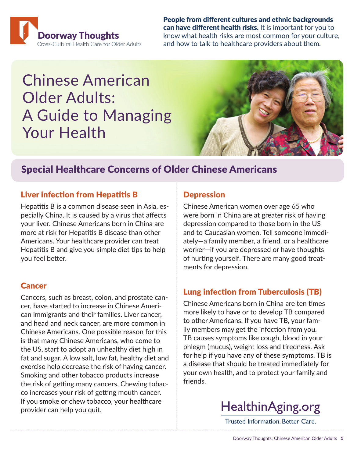

People from different cultures and ethnic backgrounds can have different health risks. It is important for you to know what health risks are most common for your culture, and how to talk to healthcare providers about them.

# Chinese American Older Adults: A Guide to Managing Your Health



# Special Healthcare Concerns of Older Chinese Americans

## Liver infection from Hepatitis B

Hepatitis B is a common disease seen in Asia, especially China. It is caused by a virus that affects your liver. Chinese Americans born in China are more at risk for Hepatitis B disease than other Americans. Your healthcare provider can treat Hepatitis B and give you simple diet tips to help you feel better.

### Cancer

Cancers, such as breast, colon, and prostate cancer, have started to increase in Chinese American immigrants and their families. Liver cancer, and head and neck cancer, are more common in Chinese Americans. One possible reason for this is that many Chinese Americans, who come to the US, start to adopt an unhealthy diet high in fat and sugar. A low salt, low fat, healthy diet and exercise help decrease the risk of having cancer. Smoking and other tobacco products increase the risk of getting many cancers. Chewing tobacco increases your risk of getting mouth cancer. If you smoke or chew tobacco, your healthcare provider can help you quit.

## **Depression**

Chinese American women over age 65 who were born in China are at greater risk of having depression compared to those born in the US and to Caucasian women. Tell someone immediately—a family member, a friend, or a healthcare worker—if you are depressed or have thoughts of hurting yourself. There are many good treatments for depression.

## Lung infection from Tuberculosis (TB)

Chinese Americans born in China are ten times more likely to have or to develop TB compared to other Americans. If you have TB, your family members may get the infection from you. TB causes symptoms like cough, blood in your phlegm (mucus), weight loss and tiredness. Ask for help if you have any of these symptoms. TB is a disease that should be treated immediately for your own health, and to protect your family and friends.



**Trusted Information. Better Care.**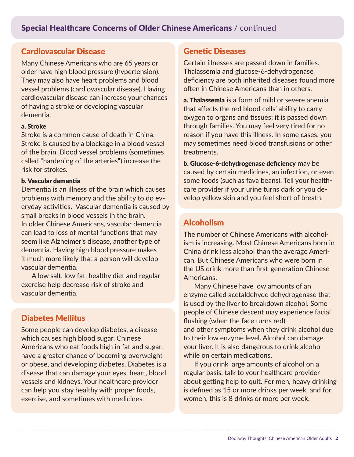## Cardiovascular Disease

Many Chinese Americans who are 65 years or older have high blood pressure (hypertension). They may also have heart problems and blood vessel problems (cardiovascular disease). Having cardiovascular disease can increase your chances of having a stroke or developing vascular dementia.

#### a. Stroke

Stroke is a common cause of death in China. Stroke is caused by a blockage in a blood vessel of the brain. Blood vessel problems (sometimes called "hardening of the arteries") increase the risk for strokes.

#### b. Vascular dementia

Dementia is an illness of the brain which causes problems with memory and the ability to do everyday activities. Vascular dementia is caused by small breaks in blood vessels in the brain. In older Chinese Americans, vascular dementia can lead to loss of mental functions that may seem like Alzheimer's disease, another type of dementia. Having high blood pressure makes it much more likely that a person will develop vascular dementia.

 A low salt, low fat, healthy diet and regular exercise help decrease risk of stroke and vascular dementia.

## Diabetes Mellitus

Some people can develop diabetes, a disease which causes high blood sugar. Chinese Americans who eat foods high in fat and sugar, have a greater chance of becoming overweight or obese, and developing diabetes. Diabetes is a disease that can damage your eyes, heart, blood vessels and kidneys. Your healthcare provider can help you stay healthy with proper foods, exercise, and sometimes with medicines.

#### Genetic Diseases

Certain illnesses are passed down in families. Thalassemia and glucose-6-dehydrogenase deficiency are both inherited diseases found more often in Chinese Americans than in others.

a. Thalassemia is a form of mild or severe anemia that affects the red blood cells' ability to carry oxygen to organs and tissues; it is passed down through families. You may feel very tired for no reason if you have this illness. In some cases, you may sometimes need blood transfusions or other treatments.

b. Glucose-6-dehydrogenase deficiency may be caused by certain medicines, an infection, or even some foods (such as fava beans). Tell your healthcare provider if your urine turns dark or you develop yellow skin and you feel short of breath.

## Alcoholism

The number of Chinese Americans with alcoholism is increasing. Most Chinese Americans born in China drink less alcohol than the average American. But Chinese Americans who were born in the US drink more than first-generation Chinese Americans.

 Many Chinese have low amounts of an enzyme called acetaldehyde dehydrogenase that is used by the liver to breakdown alcohol. Some people of Chinese descent may experience facial flushing (when the face turns red) and other symptoms when they drink alcohol due to their low enzyme level. Alcohol can damage your liver. It is also dangerous to drink alcohol while on certain medications.

 If you drink large amounts of alcohol on a regular basis, talk to your healthcare provider about getting help to quit. For men, heavy drinking is defined as 15 or more drinks per week, and for women, this is 8 drinks or more per week.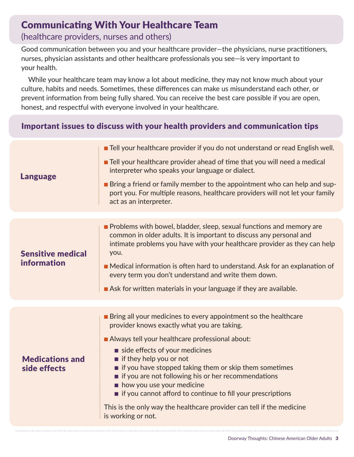# Communicating With Your Healthcare Team

## (healthcare providers, nurses and others)

Good communication between you and your healthcare provider—the physicians, nurse practitioners, nurses, physician assistants and other healthcare professionals you see—is very important to your health.

 While your healthcare team may know a lot about medicine, they may not know much about your culture, habits and needs. Sometimes, these differences can make us misunderstand each other, or prevent information from being fully shared. You can receive the best care possible if you are open, honest, and respectful with everyone involved in your healthcare.

# Important issues to discuss with your health providers and communication tips

| <b>Language</b>                         | <b>The Tell your healthcare provider if you do not understand or read English well.</b>                                                                                                                                          |  |
|-----------------------------------------|----------------------------------------------------------------------------------------------------------------------------------------------------------------------------------------------------------------------------------|--|
|                                         | <b>The Tell your healthcare provider ahead of time that you will need a medical</b><br>interpreter who speaks your language or dialect.                                                                                          |  |
|                                         | <b>Example 1</b> Bring a friend or family member to the appointment who can help and sup-<br>port you. For multiple reasons, healthcare providers will not let your family<br>act as an interpreter.                             |  |
|                                         |                                                                                                                                                                                                                                  |  |
| <b>Sensitive medical</b><br>information | Problems with bowel, bladder, sleep, sexual functions and memory are<br>common in older adults. It is important to discuss any personal and<br>intimate problems you have with your healthcare provider as they can help<br>you. |  |
|                                         | Medical information is often hard to understand. Ask for an explanation of<br>every term you don't understand and write them down.                                                                                               |  |
|                                         | Ask for written materials in your language if they are available.                                                                                                                                                                |  |
|                                         |                                                                                                                                                                                                                                  |  |
| <b>Medications and</b><br>side effects  | <b>Bring all your medicines to every appointment so the healthcare</b><br>provider knows exactly what you are taking.                                                                                                            |  |
|                                         | Always tell your healthcare professional about:                                                                                                                                                                                  |  |
|                                         | side effects of your medicines<br>$\blacksquare$ if they help you or not                                                                                                                                                         |  |
|                                         | $\blacksquare$ if you have stopped taking them or skip them sometimes<br>if you are not following his or her recommendations<br>how you use your medicine                                                                        |  |
|                                         | if you cannot afford to continue to fill your prescriptions                                                                                                                                                                      |  |
|                                         | This is the only way the healthcare provider can tell if the medicine<br>is working or not.                                                                                                                                      |  |